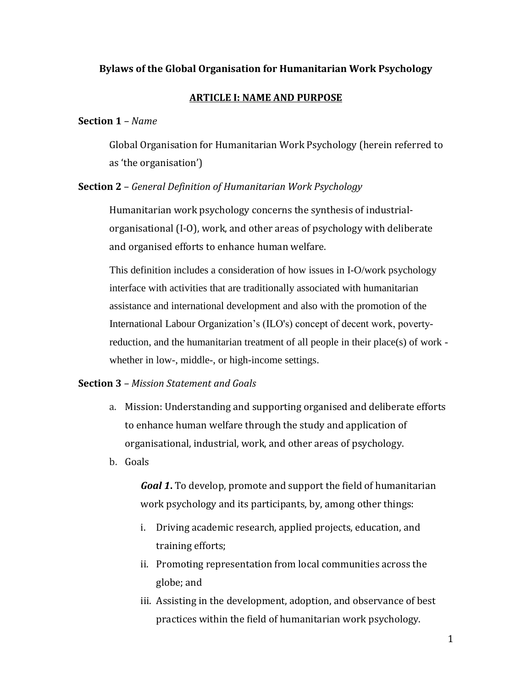## **Bylaws of the Global Organisation for Humanitarian Work Psychology**

#### **ARTICLE I: NAME AND PURPOSE**

#### **Section 1** *– Name*

Global Organisation for Humanitarian Work Psychology (herein referred to as 'the organisation')

#### **Section 2** – *General Definition of Humanitarian Work Psychology*

Humanitarian work psychology concerns the synthesis of industrialorganisational (I-O), work, and other areas of psychology with deliberate and organised efforts to enhance human welfare.

This definition includes a consideration of how issues in I-O/work psychology interface with activities that are traditionally associated with humanitarian assistance and international development and also with the promotion of the International Labour Organization's (ILO's) concept of decent work, povertyreduction, and the humanitarian treatment of all people in their place(s) of work whether in low-, middle-, or high-income settings.

# **Section 3** *– Mission Statement and Goals*

- a. Mission: Understanding and supporting organised and deliberate efforts to enhance human welfare through the study and application of organisational, industrial, work, and other areas of psychology.
- b. Goals

*Goal 1***.** To develop, promote and support the field of humanitarian work psychology and its participants, by, among other things:

- i. Driving academic research, applied projects, education, and training efforts;
- ii. Promoting representation from local communities across the globe; and
- iii. Assisting in the development, adoption, and observance of best practices within the field of humanitarian work psychology.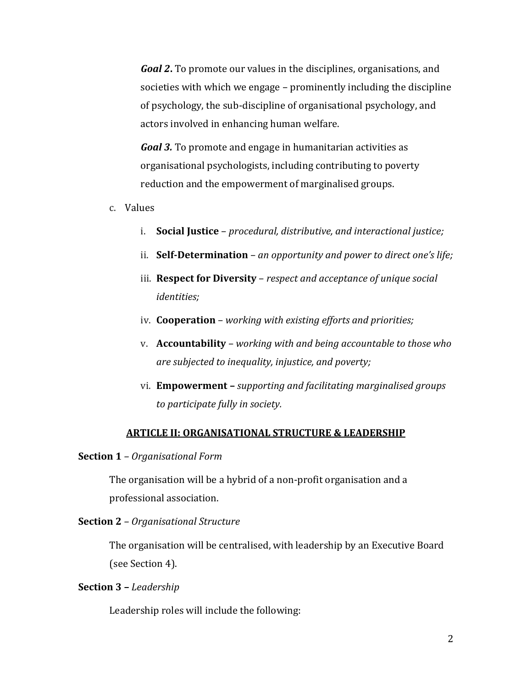*Goal 2***.** To promote our values in the disciplines, organisations, and societies with which we engage – prominently including the discipline of psychology, the sub-discipline of organisational psychology, and actors involved in enhancing human welfare.

*Goal 3.* To promote and engage in humanitarian activities as organisational psychologists, including contributing to poverty reduction and the empowerment of marginalised groups.

- c. Values
	- i. **Social Justice** *procedural, distributive, and interactional justice;*
	- ii. **Self-Determination** *an opportunity and power to direct one's life;*
	- iii. **Respect for Diversity** *respect and acceptance of unique social identities;*
	- iv. **Cooperation**  *working with existing efforts and priorities;*
	- v. **Accountability**  *working with and being accountable to those who are subjected to inequality, injustice, and poverty;*
	- vi. **Empowerment –** *supporting and facilitating marginalised groups to participate fully in society.*

#### **ARTICLE II: ORGANISATIONAL STRUCTURE & LEADERSHIP**

#### **Section 1** *– Organisational Form*

The organisation will be a hybrid of a non-profit organisation and a professional association.

### **Section 2** *– Organisational Structure*

The organisation will be centralised, with leadership by an Executive Board (see Section 4).

#### **Section 3** *– Leadership*

Leadership roles will include the following: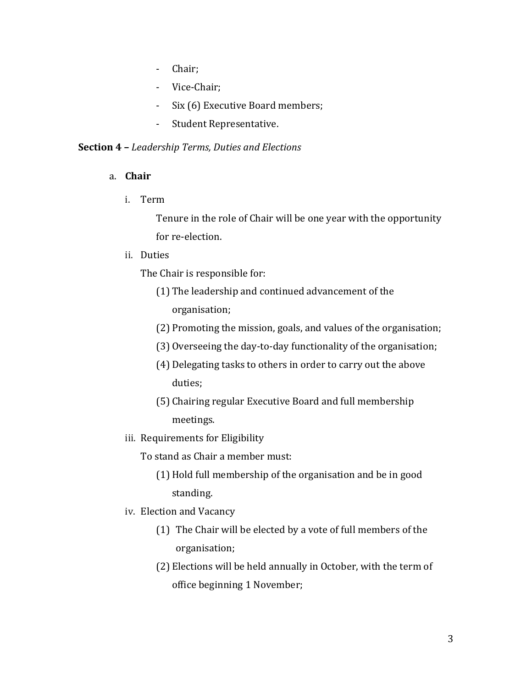- Chair;
- Vice-Chair;
- Six (6) Executive Board members;
- Student Representative.

#### **Section 4 –** *Leadership Terms, Duties and Elections*

- a. **Chair** 
	- i. Term

Tenure in the role of Chair will be one year with the opportunity for re-election.

ii. Duties

The Chair is responsible for:

- (1) The leadership and continued advancement of the organisation;
- (2) Promoting the mission, goals, and values of the organisation;
- (3) Overseeing the day-to-day functionality of the organisation;
- (4) Delegating tasks to others in order to carry out the above duties;
- (5) Chairing regular Executive Board and full membership meetings.
- iii. Requirements for Eligibility
	- To stand as Chair a member must:
		- (1) Hold full membership of the organisation and be in good standing.
- iv. Election and Vacancy
	- (1) The Chair will be elected by a vote of full members of the organisation;
	- (2) Elections will be held annually in October, with the term of office beginning 1 November;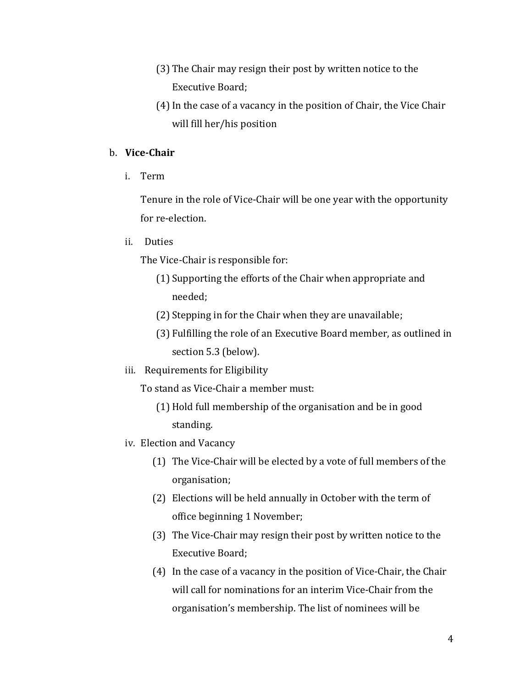- (3) The Chair may resign their post by written notice to the Executive Board;
- (4)In the case of a vacancy in the position of Chair, the Vice Chair will fill her/his position

# b. **Vice-Chair**

i. Term

Tenure in the role of Vice-Chair will be one year with the opportunity for re-election.

ii. Duties

The Vice-Chair is responsible for:

- (1) Supporting the efforts of the Chair when appropriate and needed;
- (2) Stepping in for the Chair when they are unavailable;
- (3) Fulfilling the role of an Executive Board member, as outlined in section 5.3 (below).
- iii. Requirements for Eligibility

To stand as Vice-Chair a member must:

- (1) Hold full membership of the organisation and be in good standing.
- iv. Election and Vacancy
	- (1) The Vice-Chair will be elected by a vote of full members of the organisation;
	- (2) Elections will be held annually in October with the term of office beginning 1 November;
	- (3) The Vice-Chair may resign their post by written notice to the Executive Board;
	- (4) In the case of a vacancy in the position of Vice-Chair, the Chair will call for nominations for an interim Vice-Chair from the organisation's membership. The list of nominees will be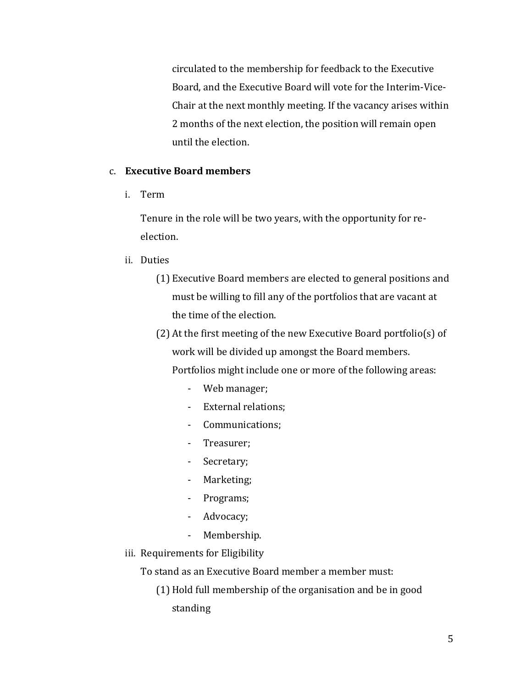circulated to the membership for feedback to the Executive Board, and the Executive Board will vote for the Interim-Vice-Chair at the next monthly meeting. If the vacancy arises within 2 months of the next election, the position will remain open until the election.

### c. **Executive Board members**

i. Term

Tenure in the role will be two years, with the opportunity for reelection.

### ii. Duties

- (1) Executive Board members are elected to general positions and must be willing to fill any of the portfolios that are vacant at the time of the election.
- (2) At the first meeting of the new Executive Board portfolio(s) of work will be divided up amongst the Board members. Portfolios might include one or more of the following areas:
	- Web manager;
	- External relations;
	- Communications;
	- Treasurer;
	- Secretary;
	- Marketing;
	- Programs;
	- Advocacy;
	- Membership.
- iii. Requirements for Eligibility

To stand as an Executive Board member a member must:

(1) Hold full membership of the organisation and be in good standing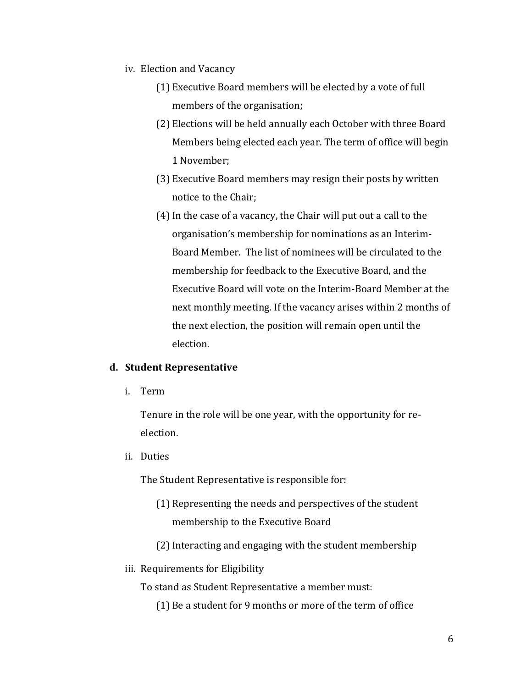- iv. Election and Vacancy
	- (1) Executive Board members will be elected by a vote of full members of the organisation;
	- (2) Elections will be held annually each October with three Board Members being elected each year. The term of office will begin 1 November;
	- (3) Executive Board members may resign their posts by written notice to the Chair;
	- (4)In the case of a vacancy, the Chair will put out a call to the organisation's membership for nominations as an Interim-Board Member. The list of nominees will be circulated to the membership for feedback to the Executive Board, and the Executive Board will vote on the Interim-Board Member at the next monthly meeting. If the vacancy arises within 2 months of the next election, the position will remain open until the election.

#### **d. Student Representative**

i. Term

Tenure in the role will be one year, with the opportunity for reelection.

ii. Duties

The Student Representative is responsible for:

- (1) Representing the needs and perspectives of the student membership to the Executive Board
- (2)Interacting and engaging with the student membership

#### iii. Requirements for Eligibility

To stand as Student Representative a member must:

(1) Be a student for 9 months or more of the term of office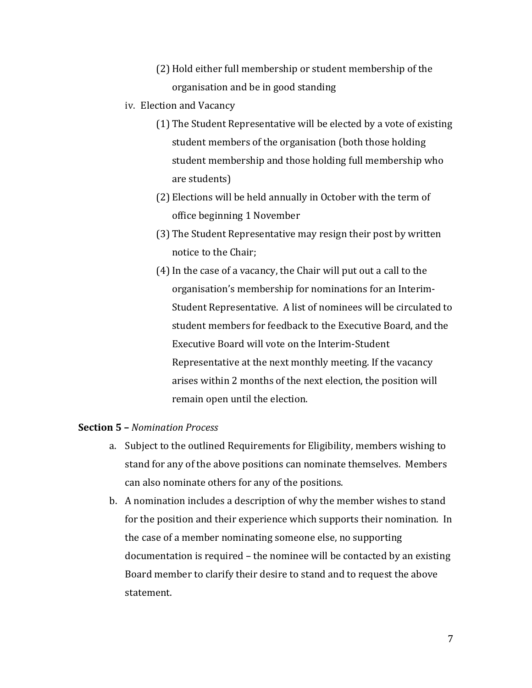- (2) Hold either full membership or student membership of the organisation and be in good standing
- iv. Election and Vacancy
	- (1) The Student Representative will be elected by a vote of existing student members of the organisation (both those holding student membership and those holding full membership who are students)
	- (2) Elections will be held annually in October with the term of office beginning 1 November
	- (3) The Student Representative may resign their post by written notice to the Chair;
	- (4)In the case of a vacancy, the Chair will put out a call to the organisation's membership for nominations for an Interim-Student Representative. A list of nominees will be circulated to student members for feedback to the Executive Board, and the Executive Board will vote on the Interim-Student Representative at the next monthly meeting. If the vacancy arises within 2 months of the next election, the position will remain open until the election.

### **Section 5 –** *Nomination Process*

- a. Subject to the outlined Requirements for Eligibility, members wishing to stand for any of the above positions can nominate themselves. Members can also nominate others for any of the positions.
- b. A nomination includes a description of why the member wishes to stand for the position and their experience which supports their nomination. In the case of a member nominating someone else, no supporting documentation is required – the nominee will be contacted by an existing Board member to clarify their desire to stand and to request the above statement.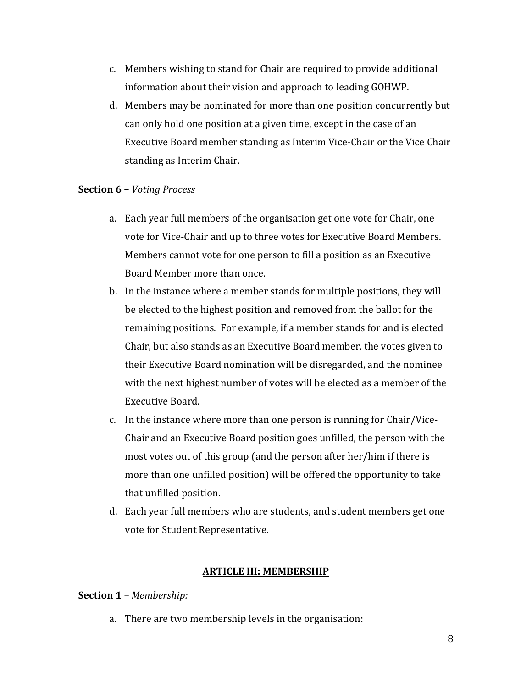- c. Members wishing to stand for Chair are required to provide additional information about their vision and approach to leading GOHWP.
- d. Members may be nominated for more than one position concurrently but can only hold one position at a given time, except in the case of an Executive Board member standing as Interim Vice-Chair or the Vice Chair standing as Interim Chair.

## **Section 6 –** *Voting Process*

- a. Each year full members of the organisation get one vote for Chair, one vote for Vice-Chair and up to three votes for Executive Board Members. Members cannot vote for one person to fill a position as an Executive Board Member more than once.
- b. In the instance where a member stands for multiple positions, they will be elected to the highest position and removed from the ballot for the remaining positions. For example, if a member stands for and is elected Chair, but also stands as an Executive Board member, the votes given to their Executive Board nomination will be disregarded, and the nominee with the next highest number of votes will be elected as a member of the Executive Board.
- c. In the instance where more than one person is running for Chair/Vice-Chair and an Executive Board position goes unfilled, the person with the most votes out of this group (and the person after her/him if there is more than one unfilled position) will be offered the opportunity to take that unfilled position.
- d. Each year full members who are students, and student members get one vote for Student Representative.

## **ARTICLE III: MEMBERSHIP**

## **Section 1** *– Membership:*

a. There are two membership levels in the organisation: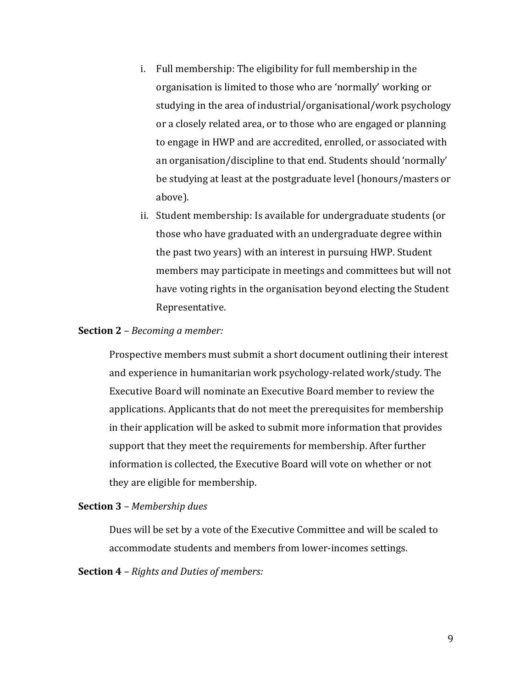- i. Full membership: The eligibility for full membership in the organisation is limited to those who are 'normally' working or studying in the area of industrial/organisational/work psychology or a closely related area, or to those who are engaged or planning to engage in HWP and are accredited, enrolled, or associated with an organisation/discipline to that end. Students should 'normally' be studying at least at the postgraduate level (honours/masters or above).
- ii. Student membership: Is available for undergraduate students (or those who have graduated with an undergraduate degree within the past two years) with an interest in pursuing HWP. Student members may participate in meetings and committees but will not have voting rights in the organisation beyond electing the Student Representative.

#### **Section 2** *– Becoming a member:*

Prospective members must submit a short document outlining their interest and experience in humanitarian work psychology-related work/study. The Executive Board will nominate an Executive Board member to review the applications. Applicants that do not meet the prerequisites for membership in their application will be asked to submit more information that provides support that they meet the requirements for membership. After further information is collected, the Executive Board will vote on whether or not they are eligible for membership.

#### **Section 3** *– Membership dues*

Dues will be set by a vote of the Executive Committee and will be scaled to accommodate students and members from lower-incomes settings.

**Section 4** *– Rights and Duties of members:*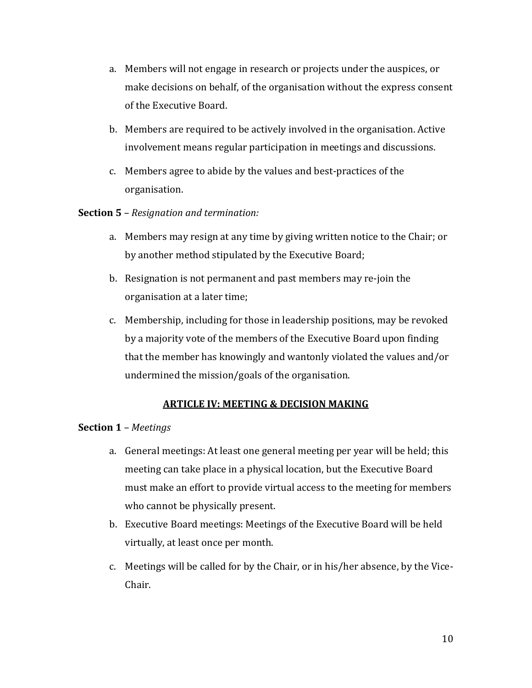- a. Members will not engage in research or projects under the auspices, or make decisions on behalf, of the organisation without the express consent of the Executive Board.
- b. Members are required to be actively involved in the organisation. Active involvement means regular participation in meetings and discussions.
- c. Members agree to abide by the values and best-practices of the organisation.

## **Section 5** *– Resignation and termination:*

- a. Members may resign at any time by giving written notice to the Chair; or by another method stipulated by the Executive Board;
- b. Resignation is not permanent and past members may re-join the organisation at a later time;
- c. Membership, including for those in leadership positions, may be revoked by a majority vote of the members of the Executive Board upon finding that the member has knowingly and wantonly violated the values and/or undermined the mission/goals of the organisation.

# **ARTICLE IV: MEETING & DECISION MAKING**

## **Section 1** *– Meetings*

- a. General meetings: At least one general meeting per year will be held; this meeting can take place in a physical location, but the Executive Board must make an effort to provide virtual access to the meeting for members who cannot be physically present.
- b. Executive Board meetings: Meetings of the Executive Board will be held virtually, at least once per month.
- c. Meetings will be called for by the Chair, or in his/her absence, by the Vice-Chair.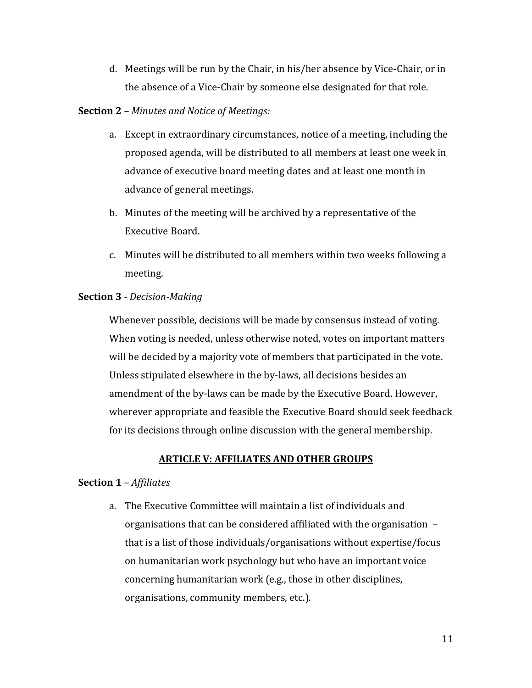d. Meetings will be run by the Chair, in his/her absence by Vice-Chair, or in the absence of a Vice-Chair by someone else designated for that role.

# **Section 2** *– Minutes and Notice of Meetings:*

- a. Except in extraordinary circumstances, notice of a meeting, including the proposed agenda, will be distributed to all members at least one week in advance of executive board meeting dates and at least one month in advance of general meetings.
- b. Minutes of the meeting will be archived by a representative of the Executive Board.
- c. Minutes will be distributed to all members within two weeks following a meeting.

# **Section 3** *- Decision-Making*

Whenever possible, decisions will be made by consensus instead of voting. When voting is needed, unless otherwise noted, votes on important matters will be decided by a majority vote of members that participated in the vote. Unless stipulated elsewhere in the by-laws, all decisions besides an amendment of the by-laws can be made by the Executive Board. However, wherever appropriate and feasible the Executive Board should seek feedback for its decisions through online discussion with the general membership.

# **ARTICLE V: AFFILIATES AND OTHER GROUPS**

## **Section 1** *– Affiliates*

a. The Executive Committee will maintain a list of individuals and organisations that can be considered affiliated with the organisation – that is a list of those individuals/organisations without expertise/focus on humanitarian work psychology but who have an important voice concerning humanitarian work (e.g., those in other disciplines, organisations, community members, etc.).